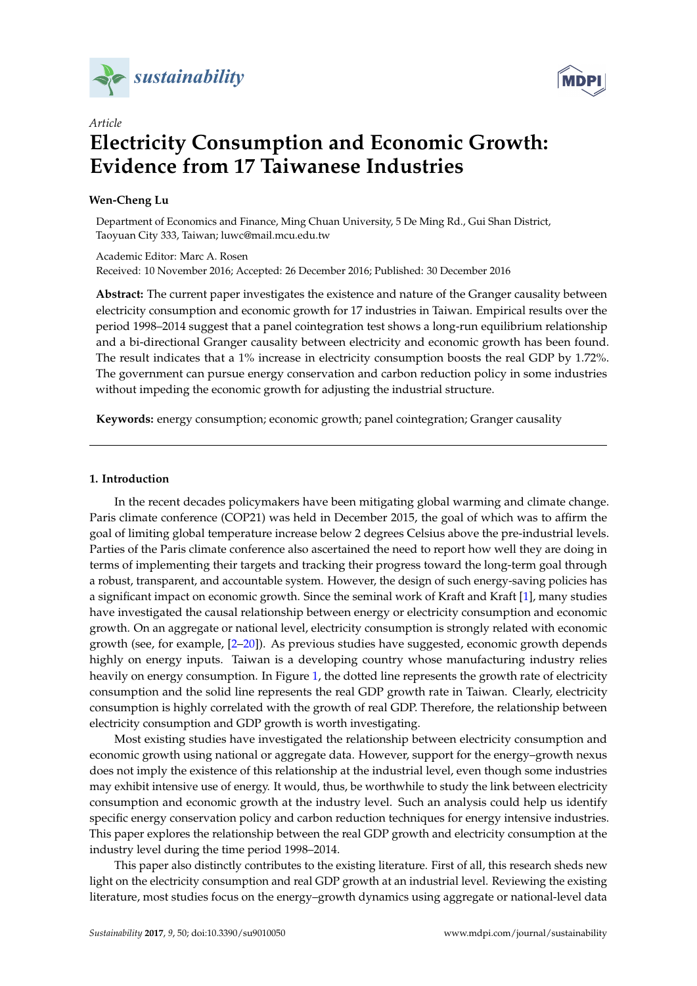



# *Article* **Electricity Consumption and Economic Growth: Evidence from 17 Taiwanese Industries**

# **Wen-Cheng Lu**

Department of Economics and Finance, Ming Chuan University, 5 De Ming Rd., Gui Shan District, Taoyuan City 333, Taiwan; luwc@mail.mcu.edu.tw

Academic Editor: Marc A. Rosen Received: 10 November 2016; Accepted: 26 December 2016; Published: 30 December 2016

**Abstract:** The current paper investigates the existence and nature of the Granger causality between electricity consumption and economic growth for 17 industries in Taiwan. Empirical results over the period 1998–2014 suggest that a panel cointegration test shows a long-run equilibrium relationship and a bi-directional Granger causality between electricity and economic growth has been found. The result indicates that a 1% increase in electricity consumption boosts the real GDP by 1.72%. The government can pursue energy conservation and carbon reduction policy in some industries without impeding the economic growth for adjusting the industrial structure.

**Keywords:** energy consumption; economic growth; panel cointegration; Granger causality

## **1. Introduction**

In the recent decades policymakers have been mitigating global warming and climate change. Paris climate conference (COP21) was held in December 2015, the goal of which was to affirm the goal of limiting global temperature increase below 2 degrees Celsius above the pre-industrial levels. Parties of the Paris climate conference also ascertained the need to report how well they are doing in terms of implementing their targets and tracking their progress toward the long-term goal through a robust, transparent, and accountable system. However, the design of such energy-saving policies has a significant impact on economic growth. Since the seminal work of Kraft and Kraft [\[1\]](#page-13-0), many studies have investigated the causal relationship between energy or electricity consumption and economic growth. On an aggregate or national level, electricity consumption is strongly related with economic growth (see, for example, [\[2–](#page-13-1)[20\]](#page-13-2)). As previous studies have suggested, economic growth depends highly on energy inputs. Taiwan is a developing country whose manufacturing industry relies heavily on energy consumption. In Figure [1,](#page-1-0) the dotted line represents the growth rate of electricity consumption and the solid line represents the real GDP growth rate in Taiwan. Clearly, electricity consumption is highly correlated with the growth of real GDP. Therefore, the relationship between electricity consumption and GDP growth is worth investigating.

Most existing studies have investigated the relationship between electricity consumption and economic growth using national or aggregate data. However, support for the energy–growth nexus does not imply the existence of this relationship at the industrial level, even though some industries may exhibit intensive use of energy. It would, thus, be worthwhile to study the link between electricity consumption and economic growth at the industry level. Such an analysis could help us identify specific energy conservation policy and carbon reduction techniques for energy intensive industries. This paper explores the relationship between the real GDP growth and electricity consumption at the industry level during the time period 1998–2014.

This paper also distinctly contributes to the existing literature. First of all, this research sheds new light on the electricity consumption and real GDP growth at an industrial level. Reviewing the existing literature, most studies focus on the energy–growth dynamics using aggregate or national-level data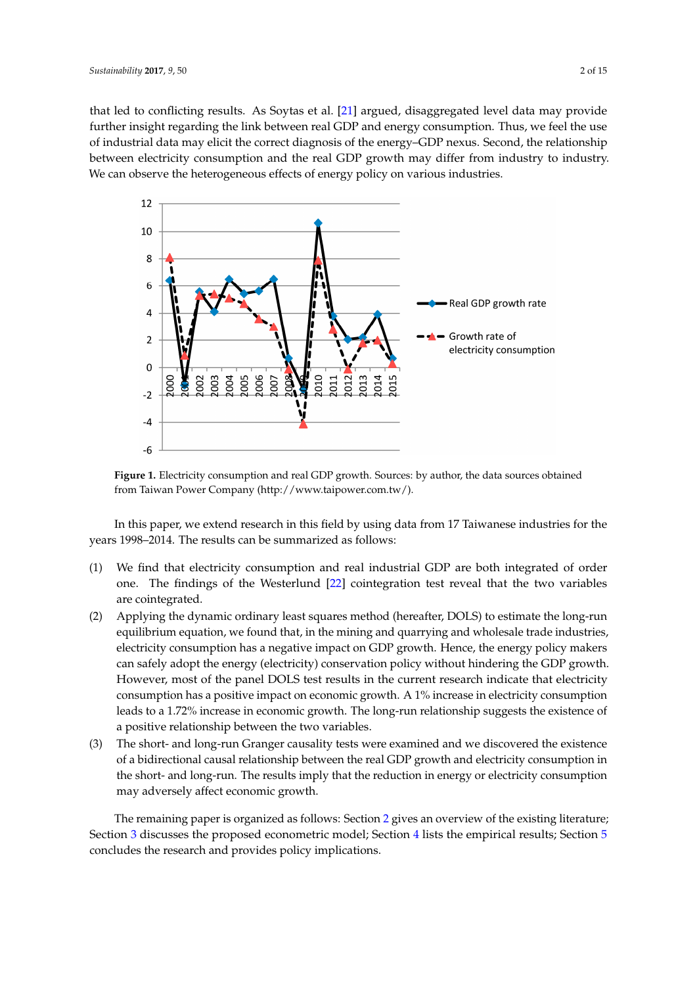that led to conflicting results. As Soytas et al. [\[21\]](#page-13-3) argued, disaggregated level data may provide further insight regarding the link between real GDP and energy consumption. Thus, we feel the use of industrial data may elicit the correct diagnosis of the energy-GDP nexus. Second, the relationship between electricity consumption and the real GDP growth may differ from industry to industry. We can observe the heterogeneous effects of energy policy on various industries.

<span id="page-1-0"></span>

**Figure 1.** Electricity consumption and real GDP growth. Sources: by author, the data sources **Figure 1.** Electricity consumption and real GDP growth. Sources: by author, the data sources obtained from Taiwan Power [Company \(http://www.taipower.c](http://www.taipower.com.tw/)om.tw/).

In this paper, we extend research in this field by using data from 17 Taiwanese industries for In this paper, we extend research in this field by using data from 17 Taiwanese industries for the years 1998–2014. The results can be summarized as follows:

- (1) We find that electricity consumption and real industrial  $G$ (1) We find that electricity consumption and real industrial GDP are both integrated of order  $\Gamma$ one. The findings of the Westerlund [\[22\]](#page-13-4) cointegration test reveal that the two variables (2) Applying the dynamic ordinary least squares method (hereafter, DOLS) to estimate the are cointegrated.
- (2) Applying the dynamic ordinary least squares method (hereafter, DOLS) to estimate the long-run equilibrium equation, we found that, in the mining and quarrying and wholesale trade industries, electricity consumption has a negative impact on GDP growth. Hence, the energy policy makers can safely adopt the energy (electricity) conservation policy without hindering the GDP growth. However, most of the panel DOLS test results in the current research indicate that electricity consumption has a positive impact on economic growth. A 1% increase in electricity consumption leads to a 1.72% increase in economic growth. The long-run relationship suggests the existence of a positive relationship between the two variables.
- (3) The short- and long-run Granger causality tests were examined and we discovered the existence of a bidirectional causal relationship between the real GDP growth and electricity consumption in the short- and long-run. The results imply that the reduction in energy or electricity consumption The remaining paper is organized as follows: Section 2 gives an overview of the existing and the existing  $\alpha$ may adversely affect economic growth.

The remaining paper is organized as follows: Section 2 gives an overview of the existing literature; Secti[on](#page-8-0) 3 discusses the proposed econometric model; Section 4 lists the empirical results; Section [5](#page-12-0) concludes the research and provides policy implications.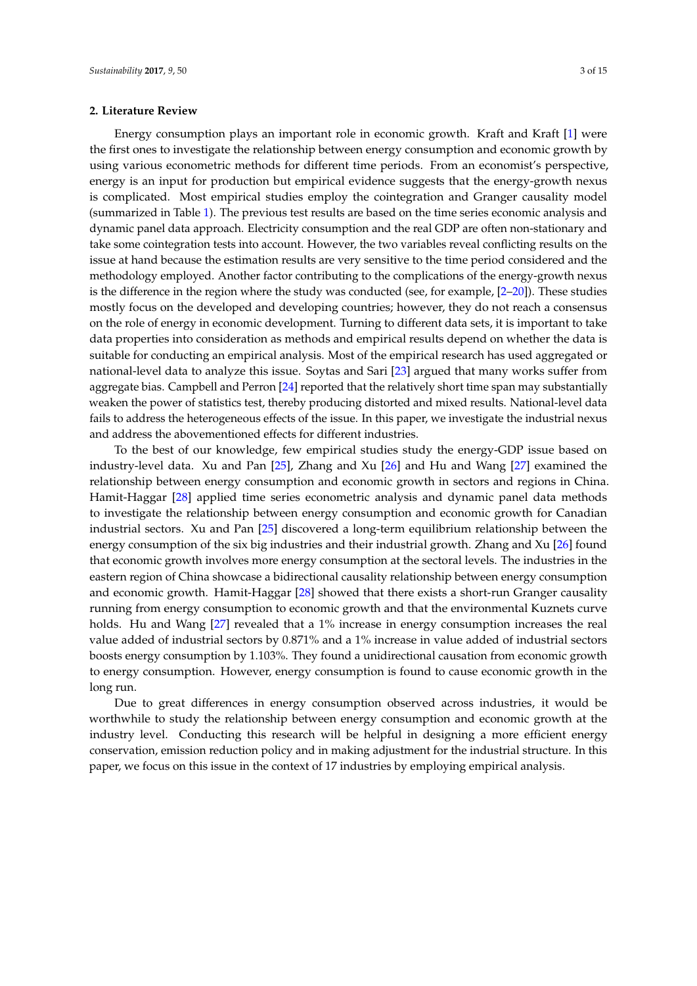## <span id="page-2-0"></span>**2. Literature Review**

Energy consumption plays an important role in economic growth. Kraft and Kraft [\[1\]](#page-13-0) were the first ones to investigate the relationship between energy consumption and economic growth by using various econometric methods for different time periods. From an economist's perspective, energy is an input for production but empirical evidence suggests that the energy-growth nexus is complicated. Most empirical studies employ the cointegration and Granger causality model (summarized in Table [1\)](#page-3-0). The previous test results are based on the time series economic analysis and dynamic panel data approach. Electricity consumption and the real GDP are often non-stationary and take some cointegration tests into account. However, the two variables reveal conflicting results on the issue at hand because the estimation results are very sensitive to the time period considered and the methodology employed. Another factor contributing to the complications of the energy-growth nexus is the difference in the region where the study was conducted (see, for example, [\[2–](#page-13-1)[20\]](#page-13-2)). These studies mostly focus on the developed and developing countries; however, they do not reach a consensus on the role of energy in economic development. Turning to different data sets, it is important to take data properties into consideration as methods and empirical results depend on whether the data is suitable for conducting an empirical analysis. Most of the empirical research has used aggregated or national-level data to analyze this issue. Soytas and Sari [\[23\]](#page-13-5) argued that many works suffer from aggregate bias. Campbell and Perron [\[24\]](#page-13-6) reported that the relatively short time span may substantially weaken the power of statistics test, thereby producing distorted and mixed results. National-level data fails to address the heterogeneous effects of the issue. In this paper, we investigate the industrial nexus and address the abovementioned effects for different industries.

To the best of our knowledge, few empirical studies study the energy-GDP issue based on industry-level data. Xu and Pan [\[25\]](#page-14-0), Zhang and Xu [\[26\]](#page-14-1) and Hu and Wang [\[27\]](#page-14-2) examined the relationship between energy consumption and economic growth in sectors and regions in China. Hamit-Haggar [\[28\]](#page-14-3) applied time series econometric analysis and dynamic panel data methods to investigate the relationship between energy consumption and economic growth for Canadian industrial sectors. Xu and Pan [\[25\]](#page-14-0) discovered a long-term equilibrium relationship between the energy consumption of the six big industries and their industrial growth. Zhang and Xu [\[26\]](#page-14-1) found that economic growth involves more energy consumption at the sectoral levels. The industries in the eastern region of China showcase a bidirectional causality relationship between energy consumption and economic growth. Hamit-Haggar [\[28\]](#page-14-3) showed that there exists a short-run Granger causality running from energy consumption to economic growth and that the environmental Kuznets curve holds. Hu and Wang [\[27\]](#page-14-2) revealed that a 1% increase in energy consumption increases the real value added of industrial sectors by 0.871% and a 1% increase in value added of industrial sectors boosts energy consumption by 1.103%. They found a unidirectional causation from economic growth to energy consumption. However, energy consumption is found to cause economic growth in the long run.

Due to great differences in energy consumption observed across industries, it would be worthwhile to study the relationship between energy consumption and economic growth at the industry level. Conducting this research will be helpful in designing a more efficient energy conservation, emission reduction policy and in making adjustment for the industrial structure. In this paper, we focus on this issue in the context of 17 industries by employing empirical analysis.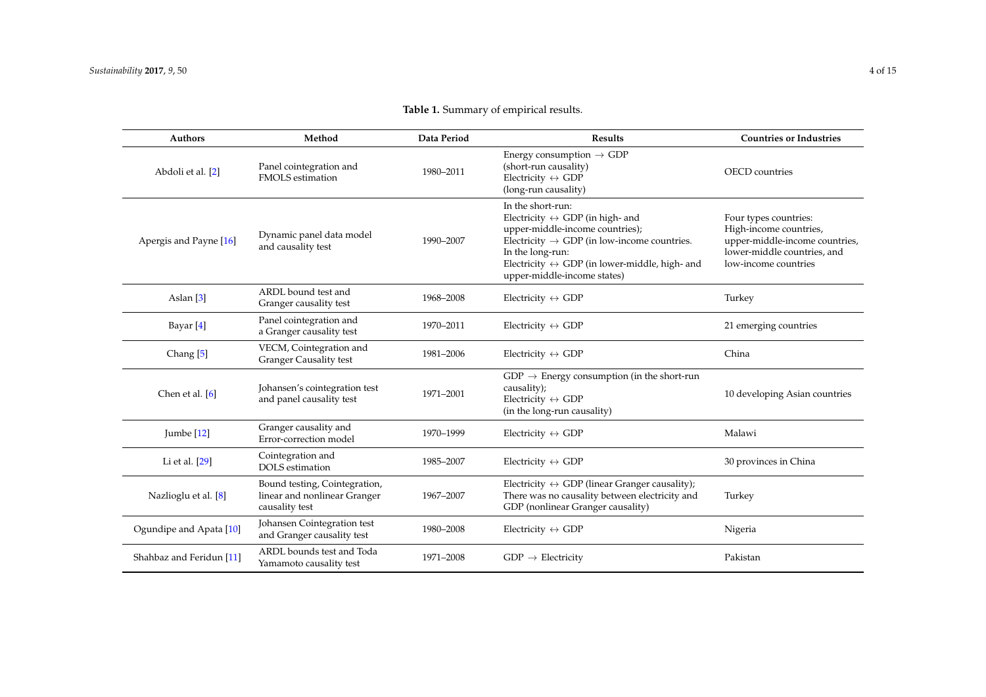<span id="page-3-0"></span>

| <b>Authors</b>           | Method                                                                          | Data Period | <b>Results</b>                                                                                                                                                                                                                                                                         | <b>Countries or Industries</b>                                                                                                           |
|--------------------------|---------------------------------------------------------------------------------|-------------|----------------------------------------------------------------------------------------------------------------------------------------------------------------------------------------------------------------------------------------------------------------------------------------|------------------------------------------------------------------------------------------------------------------------------------------|
| Abdoli et al. [2]        | Panel cointegration and<br><b>FMOLS</b> estimation                              | 1980-2011   | Energy consumption $\rightarrow$ GDP<br>(short-run causality)<br>Electricity $\leftrightarrow$ GDP<br>(long-run causality)                                                                                                                                                             | <b>OECD</b> countries                                                                                                                    |
| Apergis and Payne [16]   | Dynamic panel data model<br>and causality test                                  | 1990-2007   | In the short-run:<br>Electricity $\leftrightarrow$ GDP (in high- and<br>upper-middle-income countries);<br>Electricity $\rightarrow$ GDP (in low-income countries.<br>In the long-run:<br>Electricity $\leftrightarrow$ GDP (in lower-middle, high- and<br>upper-middle-income states) | Four types countries:<br>High-income countries,<br>upper-middle-income countries,<br>lower-middle countries, and<br>low-income countries |
| Aslan <sup>[3]</sup>     | ARDL bound test and<br>Granger causality test                                   | 1968-2008   | Electricity $\leftrightarrow$ GDP                                                                                                                                                                                                                                                      | Turkey                                                                                                                                   |
| Bayar [4]                | Panel cointegration and<br>a Granger causality test                             | 1970-2011   | Electricity $\leftrightarrow$ GDP                                                                                                                                                                                                                                                      | 21 emerging countries                                                                                                                    |
| Chang <sup>[5]</sup>     | VECM, Cointegration and<br><b>Granger Causality test</b>                        | 1981-2006   | Electricity $\leftrightarrow$ GDP                                                                                                                                                                                                                                                      | China                                                                                                                                    |
| Chen et al. [6]          | Johansen's cointegration test<br>and panel causality test                       | 1971-2001   | $GDP \rightarrow$ Energy consumption (in the short-run<br>causality);<br>Electricity $\leftrightarrow$ GDP<br>(in the long-run causality)                                                                                                                                              | 10 developing Asian countries                                                                                                            |
| Jumbe $[12]$             | Granger causality and<br>Error-correction model                                 | 1970-1999   | Electricity $\leftrightarrow$ GDP                                                                                                                                                                                                                                                      | Malawi                                                                                                                                   |
| Li et al. $[29]$         | Cointegration and<br><b>DOLS</b> estimation                                     | 1985-2007   | Electricity $\leftrightarrow$ GDP                                                                                                                                                                                                                                                      | 30 provinces in China                                                                                                                    |
| Nazlioglu et al. [8]     | Bound testing, Cointegration,<br>linear and nonlinear Granger<br>causality test | 1967-2007   | Electricity $\leftrightarrow$ GDP (linear Granger causality);<br>There was no causality between electricity and<br>GDP (nonlinear Granger causality)                                                                                                                                   | Turkey                                                                                                                                   |
| Ogundipe and Apata [10]  | Johansen Cointegration test<br>and Granger causality test                       | 1980-2008   | Electricity $\leftrightarrow$ GDP                                                                                                                                                                                                                                                      | Nigeria                                                                                                                                  |
| Shahbaz and Feridun [11] | ARDL bounds test and Toda<br>Yamamoto causality test                            | 1971-2008   | $GDP \rightarrow Electricity$                                                                                                                                                                                                                                                          | Pakistan                                                                                                                                 |

# **Table 1.** Summary of empirical results.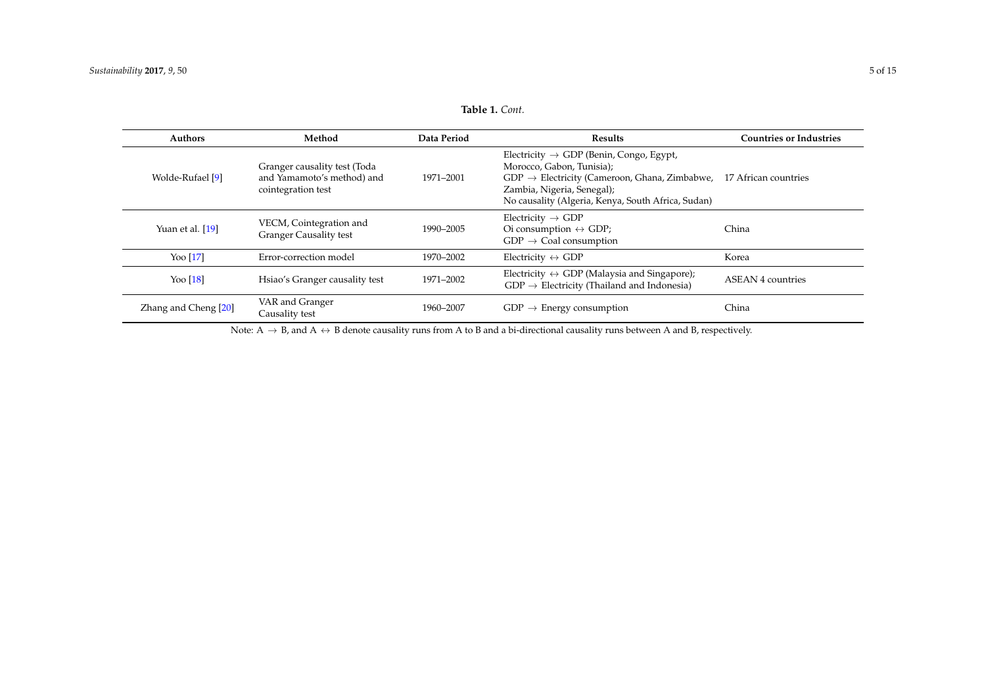| <b>Table 1.</b> Cont. |  |
|-----------------------|--|
|                       |  |

| Authors              | Method                                                                           | Data Period | <b>Results</b>                                                                                                                                                                                                                    | <b>Countries or Industries</b> |
|----------------------|----------------------------------------------------------------------------------|-------------|-----------------------------------------------------------------------------------------------------------------------------------------------------------------------------------------------------------------------------------|--------------------------------|
| Wolde-Rufael [9]     | Granger causality test (Toda<br>and Yamamoto's method) and<br>cointegration test | 1971-2001   | Electricity $\rightarrow$ GDP (Benin, Congo, Egypt,<br>Morocco, Gabon, Tunisia);<br>$GDP \rightarrow$ Electricity (Cameroon, Ghana, Zimbabwe,<br>Zambia, Nigeria, Senegal);<br>No causality (Algeria, Kenya, South Africa, Sudan) | 17 African countries           |
| Yuan et al. [19]     | VECM, Cointegration and<br><b>Granger Causality test</b>                         | 1990-2005   | Electricity $\rightarrow$ GDP<br>Oi consumption $\leftrightarrow$ GDP;<br>$GDP \rightarrow$ Coal consumption                                                                                                                      | China                          |
| Yoo [17]             | Error-correction model                                                           | 1970-2002   | Electricity $\leftrightarrow$ GDP                                                                                                                                                                                                 | Korea                          |
| Yoo $[18]$           | Hsiao's Granger causality test                                                   | 1971-2002   | Electricity $\leftrightarrow$ GDP (Malaysia and Singapore);<br>$GDP \rightarrow$ Electricity (Thailand and Indonesia)                                                                                                             | <b>ASEAN 4 countries</b>       |
| Zhang and Cheng [20] | VAR and Granger<br>Causality test                                                | 1960-2007   | $GDP \rightarrow$ Energy consumption                                                                                                                                                                                              | China                          |

Note:  $A \rightarrow B$ , and  $A \leftrightarrow B$  denote causality runs from A to B and a bi-directional causality runs between A and B, respectively.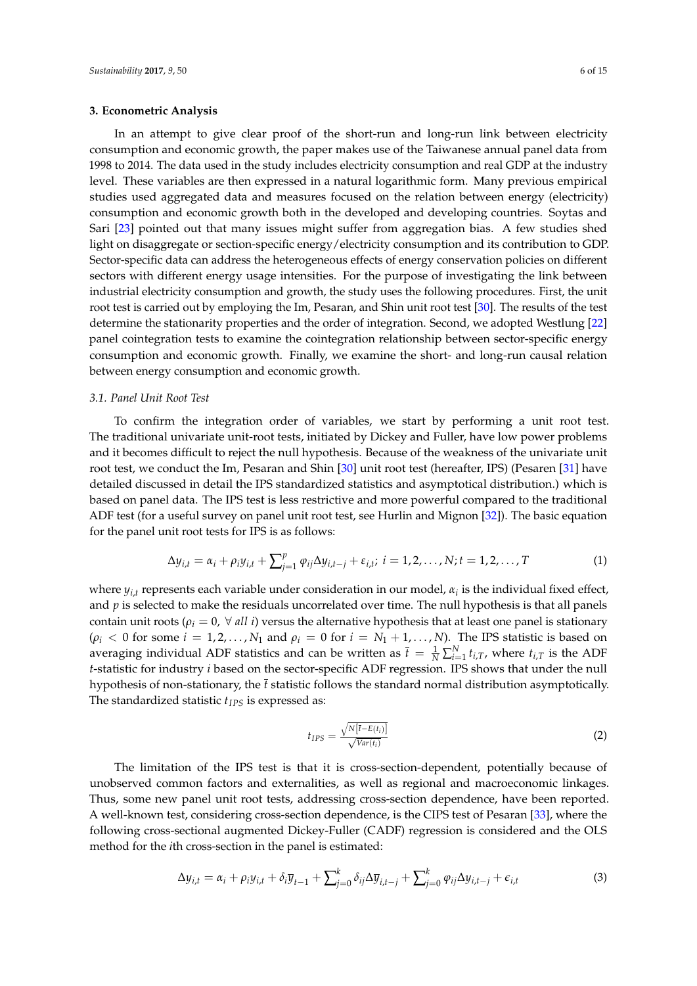#### <span id="page-5-0"></span>**3. Econometric Analysis**

In an attempt to give clear proof of the short-run and long-run link between electricity consumption and economic growth, the paper makes use of the Taiwanese annual panel data from 1998 to 2014. The data used in the study includes electricity consumption and real GDP at the industry level. These variables are then expressed in a natural logarithmic form. Many previous empirical studies used aggregated data and measures focused on the relation between energy (electricity) consumption and economic growth both in the developed and developing countries. Soytas and Sari [\[23\]](#page-13-5) pointed out that many issues might suffer from aggregation bias. A few studies shed light on disaggregate or section-specific energy/electricity consumption and its contribution to GDP. Sector-specific data can address the heterogeneous effects of energy conservation policies on different sectors with different energy usage intensities. For the purpose of investigating the link between industrial electricity consumption and growth, the study uses the following procedures. First, the unit root test is carried out by employing the Im, Pesaran, and Shin unit root test [\[30\]](#page-14-5). The results of the test determine the stationarity properties and the order of integration. Second, we adopted Westlung [\[22\]](#page-13-4) panel cointegration tests to examine the cointegration relationship between sector-specific energy consumption and economic growth. Finally, we examine the short- and long-run causal relation between energy consumption and economic growth.

#### *3.1. Panel Unit Root Test*

To confirm the integration order of variables, we start by performing a unit root test. The traditional univariate unit-root tests, initiated by Dickey and Fuller, have low power problems and it becomes difficult to reject the null hypothesis. Because of the weakness of the univariate unit root test, we conduct the Im, Pesaran and Shin [\[30\]](#page-14-5) unit root test (hereafter, IPS) (Pesaren [\[31\]](#page-14-6) have detailed discussed in detail the IPS standardized statistics and asymptotical distribution.) which is based on panel data. The IPS test is less restrictive and more powerful compared to the traditional ADF test (for a useful survey on panel unit root test, see Hurlin and Mignon [\[32\]](#page-14-7)). The basic equation for the panel unit root tests for IPS is as follows:

$$
\Delta y_{i,t} = \alpha_i + \rho_i y_{i,t} + \sum_{j=1}^p \varphi_{ij} \Delta y_{i,t-j} + \varepsilon_{i,t}; \ i = 1, 2, ..., N; t = 1, 2, ..., T
$$
 (1)

where *yi*,*<sup>t</sup>* represents each variable under consideration in our model, *α<sup>i</sup>* is the individual fixed effect, and *p* is selected to make the residuals uncorrelated over time. The null hypothesis is that all panels contain unit roots ( $\rho_i = 0$ ,  $\forall$  *all i*) versus the alternative hypothesis that at least one panel is stationary  $(\rho_i < 0 \text{ for some } i = 1, 2, ..., N_1 \text{ and } \rho_i = 0 \text{ for } i = N_1 + 1, ..., N$ . The IPS statistic is based on averaging individual ADF statistics and can be written as  $\bar{t} = \frac{1}{N} \sum_{i=1}^{N} t_{i,T}$ , where  $t_{i,T}$  is the ADF *t*-statistic for industry *i* based on the sector-specific ADF regression. IPS shows that under the null hypothesis of non-stationary, the *t* statistic follows the standard normal distribution asymptotically. The standardized statistic *tIPS* is expressed as:

$$
t_{IPS} = \frac{\sqrt{N[\bar{t} - E(t_i)]}}{\sqrt{Var(t_i)}}\tag{2}
$$

The limitation of the IPS test is that it is cross-section-dependent, potentially because of unobserved common factors and externalities, as well as regional and macroeconomic linkages. Thus, some new panel unit root tests, addressing cross-section dependence, have been reported. A well-known test, considering cross-section dependence, is the CIPS test of Pesaran [\[33\]](#page-14-8), where the following cross-sectional augmented Dickey-Fuller (CADF) regression is considered and the OLS method for the *i*th cross-section in the panel is estimated:

$$
\Delta y_{i,t} = \alpha_i + \rho_i y_{i,t} + \delta_i \overline{y}_{t-1} + \sum_{j=0}^k \delta_{ij} \Delta \overline{y}_{i,t-j} + \sum_{j=0}^k \varphi_{ij} \Delta y_{i,t-j} + \epsilon_{i,t}
$$
(3)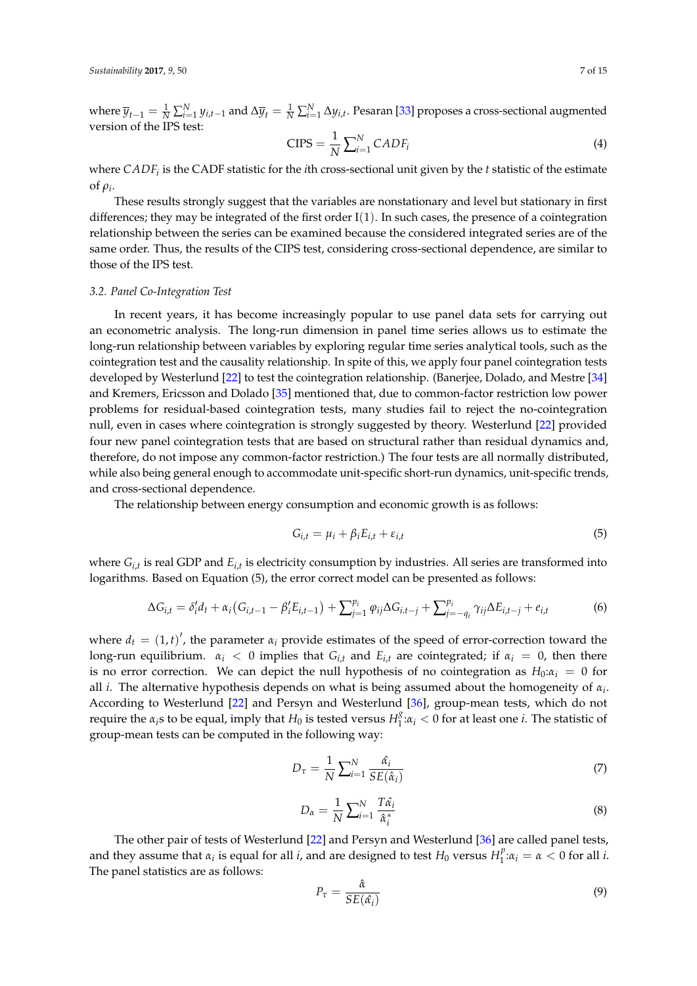where  $\overline{y}_{t-1} = \frac{1}{N} \sum_{i=1}^{N} y_{i,t-1}$  and  $\Delta \overline{y}_t = \frac{1}{N} \sum_{i=1}^{N} \Delta y_{i,t}$ . Pesaran [\[33\]](#page-14-8) proposes a cross-sectional augmented version of the IPS test:

$$
CIPS = \frac{1}{N} \sum_{i=1}^{N} CADF_i
$$
\n(4)

where *CADF<sup>i</sup>* is the CADF statistic for the *i*th cross-sectional unit given by the *t* statistic of the estimate of  $\rho_i$ .

These results strongly suggest that the variables are nonstationary and level but stationary in first differences; they may be integrated of the first order  $I(1)$ . In such cases, the presence of a cointegration relationship between the series can be examined because the considered integrated series are of the same order. Thus, the results of the CIPS test, considering cross-sectional dependence, are similar to those of the IPS test.

#### *3.2. Panel Co-Integration Test*

In recent years, it has become increasingly popular to use panel data sets for carrying out an econometric analysis. The long-run dimension in panel time series allows us to estimate the long-run relationship between variables by exploring regular time series analytical tools, such as the cointegration test and the causality relationship. In spite of this, we apply four panel cointegration tests developed by Westerlund [\[22\]](#page-13-4) to test the cointegration relationship. (Banerjee, Dolado, and Mestre [\[34\]](#page-14-9) and Kremers, Ericsson and Dolado [\[35\]](#page-14-10) mentioned that, due to common-factor restriction low power problems for residual-based cointegration tests, many studies fail to reject the no-cointegration null, even in cases where cointegration is strongly suggested by theory. Westerlund [\[22\]](#page-13-4) provided four new panel cointegration tests that are based on structural rather than residual dynamics and, therefore, do not impose any common-factor restriction.) The four tests are all normally distributed, while also being general enough to accommodate unit-specific short-run dynamics, unit-specific trends, and cross-sectional dependence.

The relationship between energy consumption and economic growth is as follows:

$$
G_{i,t} = \mu_i + \beta_i E_{i,t} + \varepsilon_{i,t} \tag{5}
$$

where  $G_{i,t}$  is real GDP and  $E_{i,t}$  is electricity consumption by industries. All series are transformed into logarithms. Based on Equation (5), the error correct model can be presented as follows:

$$
\Delta G_{i,t} = \delta_i' d_t + \alpha_i (G_{i,t-1} - \beta_i' E_{i,t-1}) + \sum_{j=1}^{p_i} \varphi_{ij} \Delta G_{i,t-j} + \sum_{j=-q_i}^{p_i} \gamma_{ij} \Delta E_{i,t-j} + e_{i,t} \tag{6}
$$

where  $d_t = (1, t)'$ , the parameter  $\alpha_i$  provide estimates of the speed of error-correction toward the long-run equilibrium.  $\alpha_i < 0$  implies that  $G_{i,t}$  and  $E_{i,t}$  are cointegrated; if  $\alpha_i = 0$ , then there is no error correction. We can depict the null hypothesis of no cointegration as  $H_0: \alpha_i = 0$  for all *i*. The alternative hypothesis depends on what is being assumed about the homogeneity of *α<sup>i</sup>* . According to Westerlund [\[22\]](#page-13-4) and Persyn and Westerlund [\[36\]](#page-14-11), group-mean tests, which do not require the  $\alpha_i$ s to be equal, imply that  $H_0$  is tested versus  $H_1^g$  $\frac{3}{1}$ : $\alpha_i$  < 0 for at least one *i*. The statistic of group-mean tests can be computed in the following way:

$$
D_{\tau} = \frac{1}{N} \sum_{i=1}^{N} \frac{\hat{\alpha}_i}{SE(\hat{\alpha}_i)}
$$
(7)

$$
D_{\alpha} = \frac{1}{N} \sum_{i=1}^{N} \frac{T \hat{\alpha}_i}{\hat{\alpha}_i^*}
$$
 (8)

The other pair of tests of Westerlund [\[22\]](#page-13-4) and Persyn and Westerlund [\[36\]](#page-14-11) are called panel tests, and they assume that  $\alpha_i$  is equal for all *i*, and are designed to test  $H_0$  versus  $H_1^p$  $\int_1^p \alpha_i = \alpha < 0$  for all *i*. The panel statistics are as follows:

$$
P_{\tau} = \frac{\hat{\alpha}}{SE(\hat{\alpha_i})} \tag{9}
$$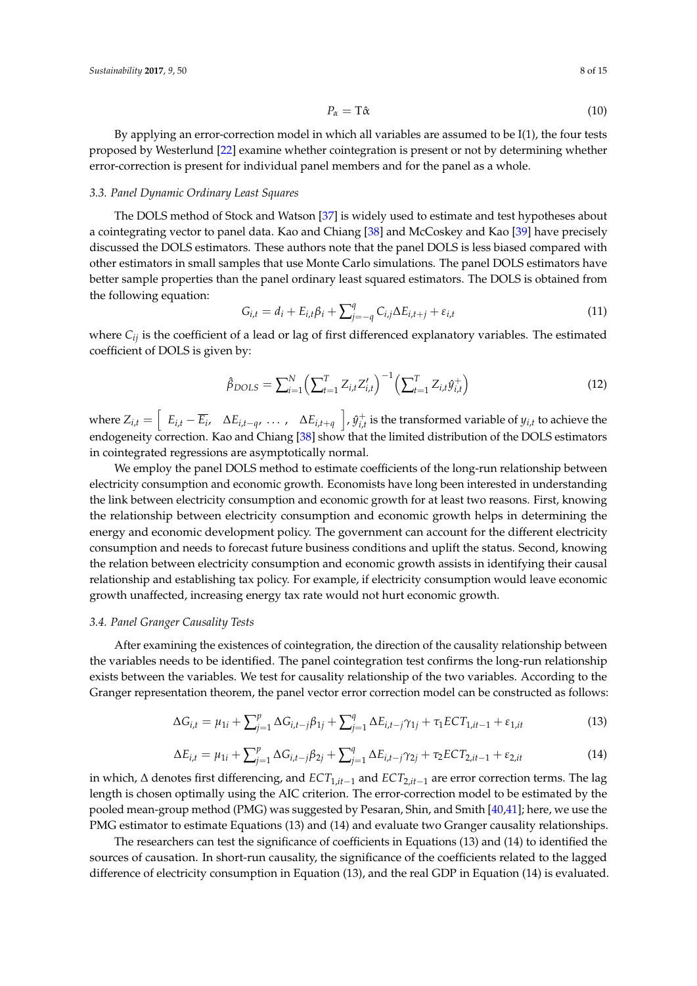$$
P_{\alpha} = \mathbf{T}\hat{\alpha} \tag{10}
$$

By applying an error-correction model in which all variables are assumed to be I(1), the four tests proposed by Westerlund [\[22\]](#page-13-4) examine whether cointegration is present or not by determining whether error-correction is present for individual panel members and for the panel as a whole.

## *3.3. Panel Dynamic Ordinary Least Squares*

The DOLS method of Stock and Watson [\[37\]](#page-14-12) is widely used to estimate and test hypotheses about a cointegrating vector to panel data. Kao and Chiang [\[38\]](#page-14-13) and McCoskey and Kao [\[39\]](#page-14-14) have precisely discussed the DOLS estimators. These authors note that the panel DOLS is less biased compared with other estimators in small samples that use Monte Carlo simulations. The panel DOLS estimators have better sample properties than the panel ordinary least squared estimators. The DOLS is obtained from the following equation:

$$
G_{i,t} = d_i + E_{i,t}\beta_i + \sum_{j=-q}^{q} C_{i,j}\Delta E_{i,t+j} + \varepsilon_{i,t}
$$
\n(11)

where  $C_{ij}$  is the coefficient of a lead or lag of first differenced explanatory variables. The estimated coefficient of DOLS is given by:

$$
\hat{\beta}_{DOLS} = \sum_{i=1}^{N} \left( \sum_{t=1}^{T} Z_{i,t} Z_{i,t}' \right)^{-1} \left( \sum_{t=1}^{T} Z_{i,t} \hat{y}_{i,t}^{+} \right)
$$
(12)

where  $Z_{i,t} = \begin{bmatrix} E_{i,t} - \overline{E_i}, \quad \Delta E_{i,t-q}, \ldots, \quad \Delta E_{i,t+q} \end{bmatrix}$ ,  $\hat{y}_{i,t}^+$  $i_{i,t}^+$  is the transformed variable of  $y_{i,t}$  to achieve the endogeneity correction. Kao and Chiang [\[38\]](#page-14-13) show that the limited distribution of the DOLS estimators in cointegrated regressions are asymptotically normal.

We employ the panel DOLS method to estimate coefficients of the long-run relationship between electricity consumption and economic growth. Economists have long been interested in understanding the link between electricity consumption and economic growth for at least two reasons. First, knowing the relationship between electricity consumption and economic growth helps in determining the energy and economic development policy. The government can account for the different electricity consumption and needs to forecast future business conditions and uplift the status. Second, knowing the relation between electricity consumption and economic growth assists in identifying their causal relationship and establishing tax policy. For example, if electricity consumption would leave economic growth unaffected, increasing energy tax rate would not hurt economic growth.

## *3.4. Panel Granger Causality Tests*

After examining the existences of cointegration, the direction of the causality relationship between the variables needs to be identified. The panel cointegration test confirms the long-run relationship exists between the variables. We test for causality relationship of the two variables. According to the Granger representation theorem, the panel vector error correction model can be constructed as follows:

$$
\Delta G_{i,t} = \mu_{1i} + \sum_{j=1}^p \Delta G_{i,t-j} \beta_{1j} + \sum_{j=1}^q \Delta E_{i,t-j} \gamma_{1j} + \tau_1 ECT_{1,it-1} + \varepsilon_{1,it}
$$
(13)

$$
\Delta E_{i,t} = \mu_{1i} + \sum_{j=1}^{p} \Delta G_{i,t-j} \beta_{2j} + \sum_{j=1}^{q} \Delta E_{i,t-j} \gamma_{2j} + \tau_2 ECT_{2,it-1} + \varepsilon_{2,it}
$$
(14)

in which, ∆ denotes first differencing, and *ECT*1,*it*−<sup>1</sup> and *ECT*2,*it*−<sup>1</sup> are error correction terms. The lag length is chosen optimally using the AIC criterion. The error-correction model to be estimated by the pooled mean-group method (PMG) was suggested by Pesaran, Shin, and Smith [\[40](#page-14-15)[,41\]](#page-14-16); here, we use the PMG estimator to estimate Equations (13) and (14) and evaluate two Granger causality relationships.

The researchers can test the significance of coefficients in Equations (13) and (14) to identified the sources of causation. In short-run causality, the significance of the coefficients related to the lagged difference of electricity consumption in Equation (13), and the real GDP in Equation (14) is evaluated.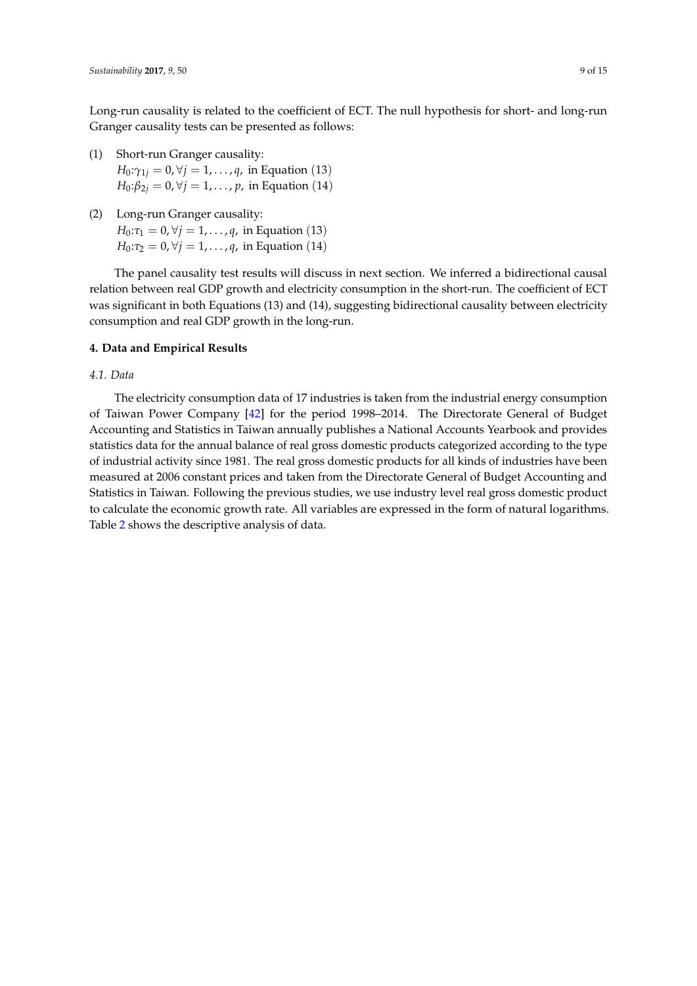Long-run causality is related to the coefficient of ECT. The null hypothesis for short- and long-run Granger causality tests can be presented as follows:

(1) Short-run Granger causality:

*H*<sub>0</sub>: $\gamma_{1i} = 0$ ,  $\forall j = 1, ..., q$ , in Equation (13) *H*<sub>0</sub>: $\beta_{2i} = 0$ ,  $\forall j = 1, ..., p$ , in Equation (14)

(2) Long-run Granger causality:

*H*<sub>0</sub>: $\tau_1 = 0, \forall j = 1, ..., q$ , in Equation (13) *H*<sub>0</sub>: $\tau_2 = 0$ ,  $\forall j = 1, ..., q$ , in Equation (14)

The panel causality test results will discuss in next section. We inferred a bidirectional causal relation between real GDP growth and electricity consumption in the short-run. The coefficient of ECT was significant in both Equations (13) and (14), suggesting bidirectional causality between electricity consumption and real GDP growth in the long-run.

## <span id="page-8-0"></span>**4. Data and Empirical Results**

#### *4.1. Data*

The electricity consumption data of 17 industries is taken from the industrial energy consumption of Taiwan Power Company [\[42\]](#page-14-17) for the period 1998–2014. The Directorate General of Budget Accounting and Statistics in Taiwan annually publishes a National Accounts Yearbook and provides statistics data for the annual balance of real gross domestic products categorized according to the type of industrial activity since 1981. The real gross domestic products for all kinds of industries have been measured at 2006 constant prices and taken from the Directorate General of Budget Accounting and Statistics in Taiwan. Following the previous studies, we use industry level real gross domestic product to calculate the economic growth rate. All variables are expressed in the form of natural logarithms. Table [2](#page-9-0) shows the descriptive analysis of data.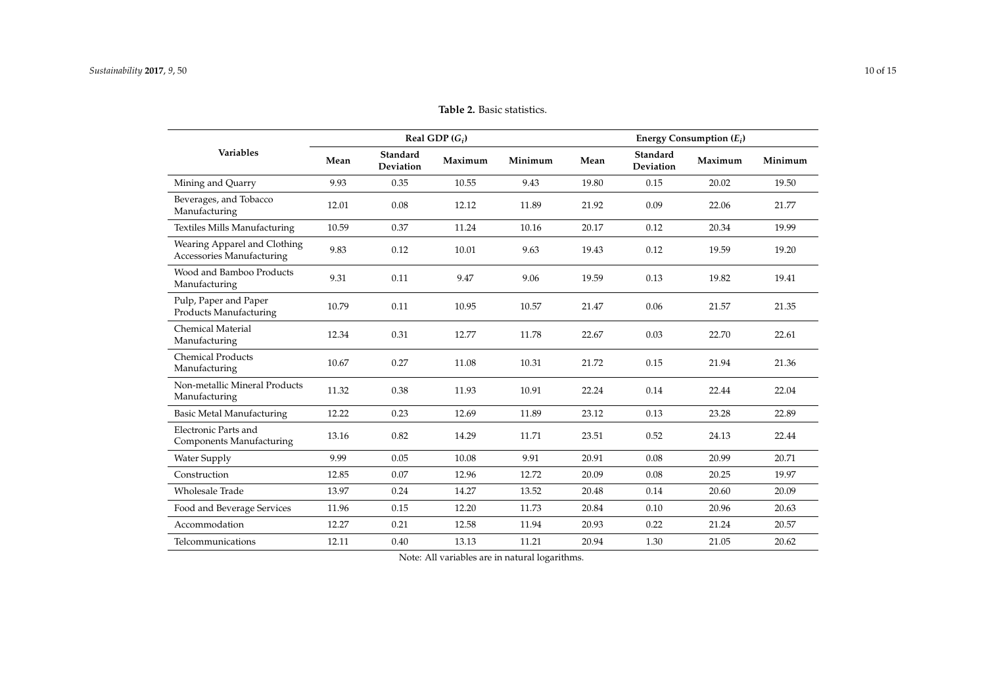|                                                                  | Real GDP $(G_i)$ |                              |         |         | Energy Consumption $(E_i)$ |                       |         |         |
|------------------------------------------------------------------|------------------|------------------------------|---------|---------|----------------------------|-----------------------|---------|---------|
| <b>Variables</b>                                                 | Mean             | Standard<br><b>Deviation</b> | Maximum | Minimum | Mean                       | Standard<br>Deviation | Maximum | Minimum |
| Mining and Quarry                                                | 9.93             | 0.35                         | 10.55   | 9.43    | 19.80                      | 0.15                  | 20.02   | 19.50   |
| Beverages, and Tobacco<br>Manufacturing                          | 12.01            | 0.08                         | 12.12   | 11.89   | 21.92                      | 0.09                  | 22.06   | 21.77   |
| <b>Textiles Mills Manufacturing</b>                              | 10.59            | 0.37                         | 11.24   | 10.16   | 20.17                      | 0.12                  | 20.34   | 19.99   |
| Wearing Apparel and Clothing<br><b>Accessories Manufacturing</b> | 9.83             | 0.12                         | 10.01   | 9.63    | 19.43                      | 0.12                  | 19.59   | 19.20   |
| Wood and Bamboo Products<br>Manufacturing                        | 9.31             | 0.11                         | 9.47    | 9.06    | 19.59                      | 0.13                  | 19.82   | 19.41   |
| Pulp, Paper and Paper<br>Products Manufacturing                  | 10.79            | 0.11                         | 10.95   | 10.57   | 21.47                      | 0.06                  | 21.57   | 21.35   |
| Chemical Material<br>Manufacturing                               | 12.34            | 0.31                         | 12.77   | 11.78   | 22.67                      | 0.03                  | 22.70   | 22.61   |
| <b>Chemical Products</b><br>Manufacturing                        | 10.67            | 0.27                         | 11.08   | 10.31   | 21.72                      | 0.15                  | 21.94   | 21.36   |
| Non-metallic Mineral Products<br>Manufacturing                   | 11.32            | 0.38                         | 11.93   | 10.91   | 22.24                      | 0.14                  | 22.44   | 22.04   |
| <b>Basic Metal Manufacturing</b>                                 | 12.22            | 0.23                         | 12.69   | 11.89   | 23.12                      | 0.13                  | 23.28   | 22.89   |
| Electronic Parts and<br><b>Components Manufacturing</b>          | 13.16            | 0.82                         | 14.29   | 11.71   | 23.51                      | 0.52                  | 24.13   | 22.44   |
| Water Supply                                                     | 9.99             | 0.05                         | 10.08   | 9.91    | 20.91                      | 0.08                  | 20.99   | 20.71   |
| Construction                                                     | 12.85            | 0.07                         | 12.96   | 12.72   | 20.09                      | 0.08                  | 20.25   | 19.97   |
| Wholesale Trade                                                  | 13.97            | 0.24                         | 14.27   | 13.52   | 20.48                      | 0.14                  | 20.60   | 20.09   |
| Food and Beverage Services                                       | 11.96            | 0.15                         | 12.20   | 11.73   | 20.84                      | 0.10                  | 20.96   | 20.63   |
| Accommodation                                                    | 12.27            | 0.21                         | 12.58   | 11.94   | 20.93                      | 0.22                  | 21.24   | 20.57   |

**Table 2.** Basic statistics.

<span id="page-9-0"></span>Telcommunications 12.11 0.40 13.13 11.21 20.94 1.30 21.05 20.62 Note: All variables are in natural logarithms.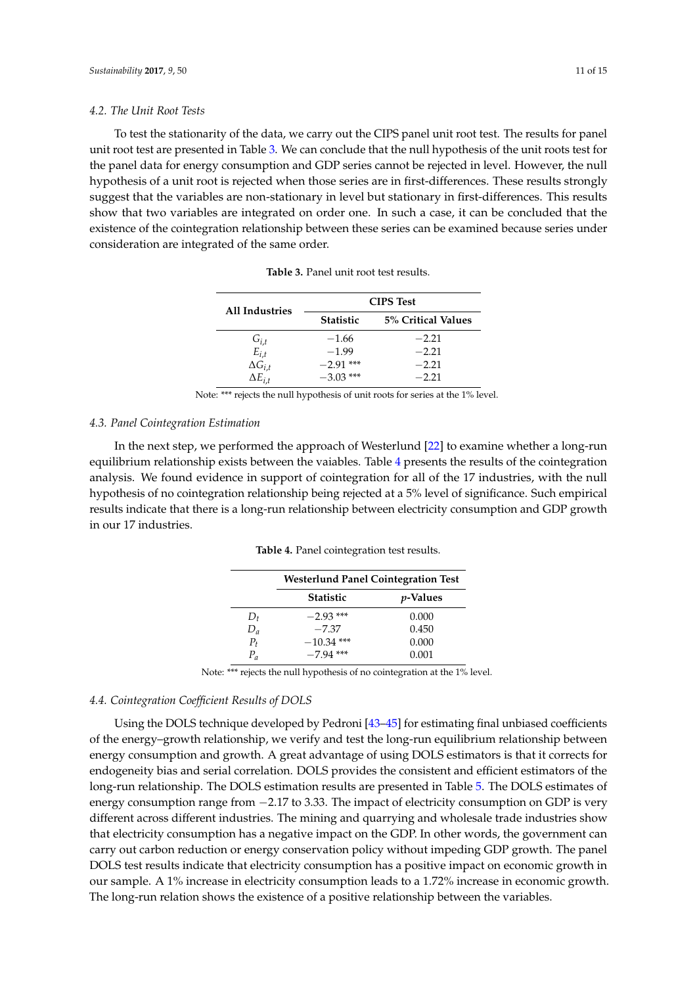#### *4.2. The Unit Root Tests*

<span id="page-10-0"></span>To test the stationarity of the data, we carry out the CIPS panel unit root test. The results for panel unit root test are presented in Table [3.](#page-10-0) We can conclude that the null hypothesis of the unit roots test for the panel data for energy consumption and GDP series cannot be rejected in level. However, the null hypothesis of a unit root is rejected when those series are in first-differences. These results strongly suggest that the variables are non-stationary in level but stationary in first-differences. This results show that two variables are integrated on order one. In such a case, it can be concluded that the existence of the cointegration relationship between these series can be examined because series under consideration are integrated of the same order.

|                        |                  | <b>CIPS</b> Test   |
|------------------------|------------------|--------------------|
| <b>All Industries</b>  | <b>Statistic</b> | 5% Critical Values |
|                        | $-1.66$          | $-2.21$            |
| $G_{i,t}$<br>$E_{i,t}$ | $-1.99$          | $-2.21$            |
| $\Delta G_{i,t}$       | $-2.91$ ***      | $-2.21$            |
| $\Delta E_{i}$         | $-3.03$ ***      | $-2.21$            |

**Table 3.** Panel unit root test results.

Note: \*\*\* rejects the null hypothesis of unit roots for series at the 1% level.

#### *4.3. Panel Cointegration Estimation*

<span id="page-10-1"></span>In the next step, we performed the approach of Westerlund [\[22\]](#page-13-4) to examine whether a long-run equilibrium relationship exists between the vaiables. Table [4](#page-10-1) presents the results of the cointegration analysis. We found evidence in support of cointegration for all of the 17 industries, with the null hypothesis of no cointegration relationship being rejected at a 5% level of significance. Such empirical results indicate that there is a long-run relationship between electricity consumption and GDP growth in our 17 industries.

|         | <b>Westerlund Panel Cointegration Test</b> |                  |  |  |
|---------|--------------------------------------------|------------------|--|--|
|         | <b>Statistic</b>                           | <i>p</i> -Values |  |  |
| $D_t$   | $-2.93$ ***                                | 0.000            |  |  |
| $D_a$   | $-7.37$                                    | 0.450            |  |  |
| $P_{t}$ | $-10.34$ ***                               | 0.000            |  |  |
| $P_a$   | $-7.94$ ***                                | 0.001            |  |  |

**Table 4.** Panel cointegration test results.

Note: \*\*\* rejects the null hypothesis of no cointegration at the 1% level.

#### *4.4. Cointegration Coefficient Results of DOLS*

Using the DOLS technique developed by Pedroni [\[43–](#page-14-18)[45\]](#page-14-19) for estimating final unbiased coefficients of the energy–growth relationship, we verify and test the long-run equilibrium relationship between energy consumption and growth. A great advantage of using DOLS estimators is that it corrects for endogeneity bias and serial correlation. DOLS provides the consistent and efficient estimators of the long-run relationship. The DOLS estimation results are presented in Table [5.](#page-11-0) The DOLS estimates of energy consumption range from −2.17 to 3.33. The impact of electricity consumption on GDP is very different across different industries. The mining and quarrying and wholesale trade industries show that electricity consumption has a negative impact on the GDP. In other words, the government can carry out carbon reduction or energy conservation policy without impeding GDP growth. The panel DOLS test results indicate that electricity consumption has a positive impact on economic growth in our sample. A 1% increase in electricity consumption leads to a 1.72% increase in economic growth. The long-run relation shows the existence of a positive relationship between the variables.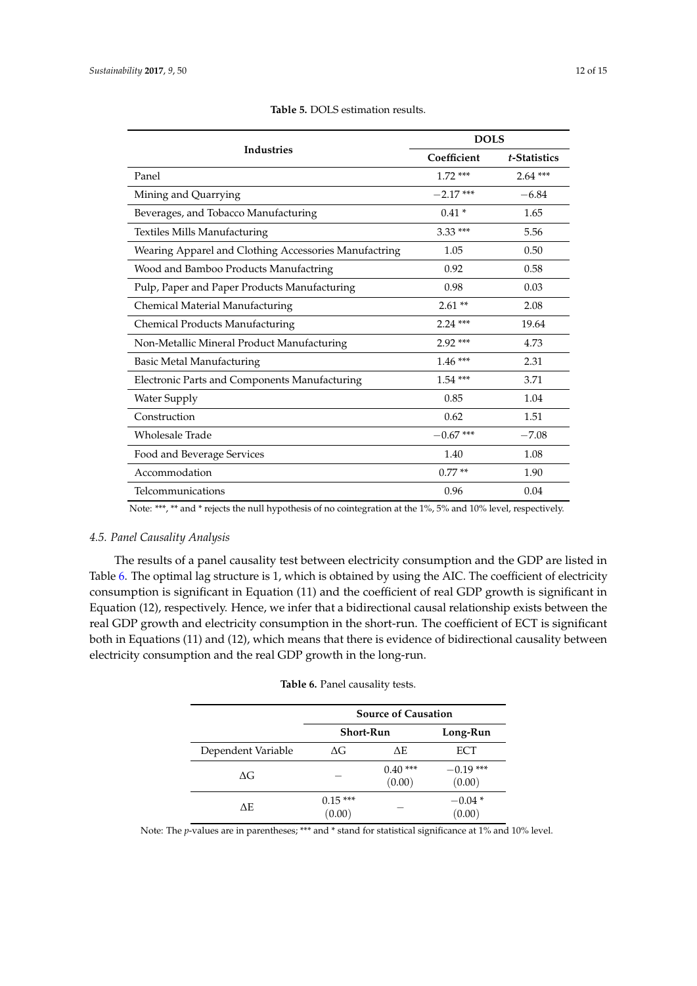<span id="page-11-0"></span>

|                                                       | <b>DOLS</b> |              |  |  |
|-------------------------------------------------------|-------------|--------------|--|--|
| <b>Industries</b>                                     | Coefficient | t-Statistics |  |  |
| Panel                                                 | $1.72***$   | $2.64***$    |  |  |
| Mining and Quarrying                                  | $-2.17$ *** | $-6.84$      |  |  |
| Beverages, and Tobacco Manufacturing                  | $0.41*$     | 1.65         |  |  |
| <b>Textiles Mills Manufacturing</b>                   | $3.33***$   | 5.56         |  |  |
| Wearing Apparel and Clothing Accessories Manufactring | 1.05        | 0.50         |  |  |
| Wood and Bamboo Products Manufactring                 | 0.92        | 0.58         |  |  |
| Pulp, Paper and Paper Products Manufacturing          | 0.98        | 0.03         |  |  |
| Chemical Material Manufacturing                       | $2.61**$    | 2.08         |  |  |
| <b>Chemical Products Manufacturing</b>                | $2.24***$   | 19.64        |  |  |
| Non-Metallic Mineral Product Manufacturing            | $2.92***$   | 4.73         |  |  |
| Basic Metal Manufacturing                             | $1.46***$   | 2.31         |  |  |
| Electronic Parts and Components Manufacturing         | $1.54***$   | 3.71         |  |  |
| <b>Water Supply</b>                                   | 0.85        | 1.04         |  |  |
| Construction                                          | 0.62        | 1.51         |  |  |
| Wholesale Trade                                       | $-0.67$ *** | $-7.08$      |  |  |
| Food and Beverage Services                            | 1.40        | 1.08         |  |  |
| Accommodation                                         | $0.77**$    | 1.90         |  |  |
| Telcommunications                                     | 0.96        | 0.04         |  |  |

**Table 5.** DOLS estimation results.

Note: \*\*\*, \*\* and \* rejects the null hypothesis of no cointegration at the 1%, 5% and 10% level, respectively.

## *4.5. Panel Causality Analysis*

The results of a panel causality test between electricity consumption and the GDP are listed in Table [6.](#page-11-1) The optimal lag structure is 1, which is obtained by using the AIC. The coefficient of electricity consumption is significant in Equation (11) and the coefficient of real GDP growth is significant in Equation (12), respectively. Hence, we infer that a bidirectional causal relationship exists between the real GDP growth and electricity consumption in the short-run. The coefficient of ECT is significant both in Equations (11) and (12), which means that there is evidence of bidirectional causality between electricity consumption and the real GDP growth in the long-run.

<span id="page-11-1"></span>

|                    | <b>Source of Causation</b> |                     |                       |  |
|--------------------|----------------------------|---------------------|-----------------------|--|
|                    | Short-Run                  | Long-Run            |                       |  |
| Dependent Variable | ΔG                         | ΛE                  | ECT                   |  |
| ΛG                 |                            | $0.40***$<br>(0.00) | $-0.19$ ***<br>(0.00) |  |
| ΛE                 | $0.15***$<br>(0.00)        |                     | $-0.04*$<br>(0.00)    |  |

|  | Table 6. Panel causality tests. |  |  |
|--|---------------------------------|--|--|
|  |                                 |  |  |

Note: The *p*-values are in parentheses; \*\*\* and \* stand for statistical significance at 1% and 10% level.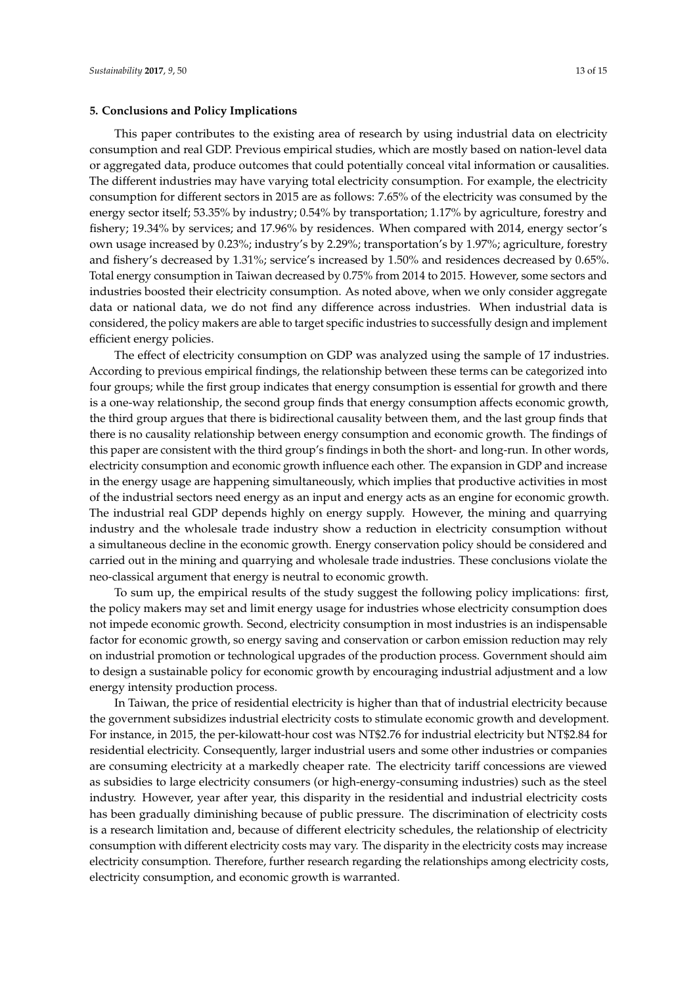#### <span id="page-12-0"></span>**5. Conclusions and Policy Implications**

This paper contributes to the existing area of research by using industrial data on electricity consumption and real GDP. Previous empirical studies, which are mostly based on nation-level data or aggregated data, produce outcomes that could potentially conceal vital information or causalities. The different industries may have varying total electricity consumption. For example, the electricity consumption for different sectors in 2015 are as follows: 7.65% of the electricity was consumed by the energy sector itself; 53.35% by industry; 0.54% by transportation; 1.17% by agriculture, forestry and fishery; 19.34% by services; and 17.96% by residences. When compared with 2014, energy sector's own usage increased by 0.23%; industry's by 2.29%; transportation's by 1.97%; agriculture, forestry and fishery's decreased by 1.31%; service's increased by 1.50% and residences decreased by 0.65%. Total energy consumption in Taiwan decreased by 0.75% from 2014 to 2015. However, some sectors and industries boosted their electricity consumption. As noted above, when we only consider aggregate data or national data, we do not find any difference across industries. When industrial data is considered, the policy makers are able to target specific industries to successfully design and implement efficient energy policies.

The effect of electricity consumption on GDP was analyzed using the sample of 17 industries. According to previous empirical findings, the relationship between these terms can be categorized into four groups; while the first group indicates that energy consumption is essential for growth and there is a one-way relationship, the second group finds that energy consumption affects economic growth, the third group argues that there is bidirectional causality between them, and the last group finds that there is no causality relationship between energy consumption and economic growth. The findings of this paper are consistent with the third group's findings in both the short- and long-run. In other words, electricity consumption and economic growth influence each other. The expansion in GDP and increase in the energy usage are happening simultaneously, which implies that productive activities in most of the industrial sectors need energy as an input and energy acts as an engine for economic growth. The industrial real GDP depends highly on energy supply. However, the mining and quarrying industry and the wholesale trade industry show a reduction in electricity consumption without a simultaneous decline in the economic growth. Energy conservation policy should be considered and carried out in the mining and quarrying and wholesale trade industries. These conclusions violate the neo-classical argument that energy is neutral to economic growth.

To sum up, the empirical results of the study suggest the following policy implications: first, the policy makers may set and limit energy usage for industries whose electricity consumption does not impede economic growth. Second, electricity consumption in most industries is an indispensable factor for economic growth, so energy saving and conservation or carbon emission reduction may rely on industrial promotion or technological upgrades of the production process. Government should aim to design a sustainable policy for economic growth by encouraging industrial adjustment and a low energy intensity production process.

In Taiwan, the price of residential electricity is higher than that of industrial electricity because the government subsidizes industrial electricity costs to stimulate economic growth and development. For instance, in 2015, the per-kilowatt-hour cost was NT\$2.76 for industrial electricity but NT\$2.84 for residential electricity. Consequently, larger industrial users and some other industries or companies are consuming electricity at a markedly cheaper rate. The electricity tariff concessions are viewed as subsidies to large electricity consumers (or high-energy-consuming industries) such as the steel industry. However, year after year, this disparity in the residential and industrial electricity costs has been gradually diminishing because of public pressure. The discrimination of electricity costs is a research limitation and, because of different electricity schedules, the relationship of electricity consumption with different electricity costs may vary. The disparity in the electricity costs may increase electricity consumption. Therefore, further research regarding the relationships among electricity costs, electricity consumption, and economic growth is warranted.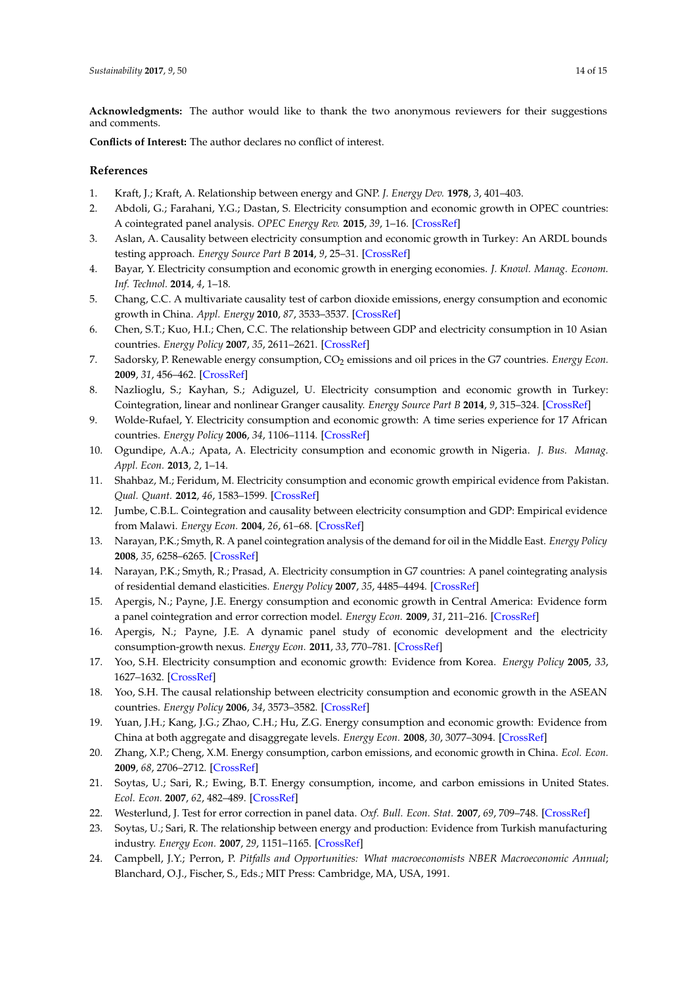<span id="page-13-17"></span><span id="page-13-14"></span><span id="page-13-12"></span><span id="page-13-11"></span><span id="page-13-10"></span><span id="page-13-9"></span><span id="page-13-7"></span>**Acknowledgments:** The author would like to thank the two anonymous reviewers for their suggestions and comments.

<span id="page-13-15"></span>**Conflicts of Interest:** The author declares no conflict of interest.

## **References**

- <span id="page-13-16"></span><span id="page-13-0"></span>1. Kraft, J.; Kraft, A. Relationship between energy and GNP. *J. Energy Dev.* **1978**, *3*, 401–403.
- <span id="page-13-13"></span><span id="page-13-1"></span>2. Abdoli, G.; Farahani, Y.G.; Dastan, S. Electricity consumption and economic growth in OPEC countries: A cointegrated panel analysis. *OPEC Energy Rev.* **2015**, *39*, 1–16. [\[CrossRef\]](http://dx.doi.org/10.1111/opec.12038)
- 3. Aslan, A. Causality between electricity consumption and economic growth in Turkey: An ARDL bounds testing approach. *Energy Source Part B* **2014**, *9*, 25–31. [\[CrossRef\]](http://dx.doi.org/10.1080/15567241003681882)
- 4. Bayar, Y. Electricity consumption and economic growth in energing economies. *J. Knowl. Manag. Econom. Inf. Technol.* **2014**, *4*, 1–18.
- 5. Chang, C.C. A multivariate causality test of carbon dioxide emissions, energy consumption and economic growth in China. *Appl. Energy* **2010**, *87*, 3533–3537. [\[CrossRef\]](http://dx.doi.org/10.1016/j.apenergy.2010.05.004)
- <span id="page-13-8"></span>6. Chen, S.T.; Kuo, H.I.; Chen, C.C. The relationship between GDP and electricity consumption in 10 Asian countries. *Energy Policy* **2007**, *35*, 2611–2621. [\[CrossRef\]](http://dx.doi.org/10.1016/j.enpol.2006.10.001)
- <span id="page-13-19"></span>7. Sadorsky, P. Renewable energy consumption, CO<sup>2</sup> emissions and oil prices in the G7 countries. *Energy Econ.* **2009**, *31*, 456–462. [\[CrossRef\]](http://dx.doi.org/10.1016/j.eneco.2008.12.010)
- <span id="page-13-20"></span>8. Nazlioglu, S.; Kayhan, S.; Adiguzel, U. Electricity consumption and economic growth in Turkey: Cointegration, linear and nonlinear Granger causality. *Energy Source Part B* **2014**, *9*, 315–324. [\[CrossRef\]](http://dx.doi.org/10.1080/15567249.2010.495970)
- <span id="page-13-18"></span>9. Wolde-Rufael, Y. Electricity consumption and economic growth: A time series experience for 17 African countries. *Energy Policy* **2006**, *34*, 1106–1114. [\[CrossRef\]](http://dx.doi.org/10.1016/j.enpol.2004.10.008)
- <span id="page-13-21"></span>10. Ogundipe, A.A.; Apata, A. Electricity consumption and economic growth in Nigeria. *J. Bus. Manag. Appl. Econ.* **2013**, *2*, 1–14.
- 11. Shahbaz, M.; Feridum, M. Electricity consumption and economic growth empirical evidence from Pakistan. *Qual. Quant.* **2012**, *46*, 1583–1599. [\[CrossRef\]](http://dx.doi.org/10.1007/s11135-011-9468-3)
- 12. Jumbe, C.B.L. Cointegration and causality between electricity consumption and GDP: Empirical evidence from Malawi. *Energy Econ.* **2004**, *26*, 61–68. [\[CrossRef\]](http://dx.doi.org/10.1016/S0140-9883(03)00058-6)
- 13. Narayan, P.K.; Smyth, R. A panel cointegration analysis of the demand for oil in the Middle East. *Energy Policy* **2008**, *35*, 6258–6265. [\[CrossRef\]](http://dx.doi.org/10.1016/j.enpol.2007.07.011)
- 14. Narayan, P.K.; Smyth, R.; Prasad, A. Electricity consumption in G7 countries: A panel cointegrating analysis of residential demand elasticities. *Energy Policy* **2007**, *35*, 4485–4494. [\[CrossRef\]](http://dx.doi.org/10.1016/j.enpol.2007.03.018)
- 15. Apergis, N.; Payne, J.E. Energy consumption and economic growth in Central America: Evidence form a panel cointegration and error correction model. *Energy Econ.* **2009**, *31*, 211–216. [\[CrossRef\]](http://dx.doi.org/10.1016/j.eneco.2008.09.002)
- 16. Apergis, N.; Payne, J.E. A dynamic panel study of economic development and the electricity consumption-growth nexus. *Energy Econ.* **2011**, *33*, 770–781. [\[CrossRef\]](http://dx.doi.org/10.1016/j.eneco.2010.12.018)
- 17. Yoo, S.H. Electricity consumption and economic growth: Evidence from Korea. *Energy Policy* **2005**, *33*, 1627–1632. [\[CrossRef\]](http://dx.doi.org/10.1016/j.enpol.2004.02.002)
- 18. Yoo, S.H. The causal relationship between electricity consumption and economic growth in the ASEAN countries. *Energy Policy* **2006**, *34*, 3573–3582. [\[CrossRef\]](http://dx.doi.org/10.1016/j.enpol.2005.07.011)
- 19. Yuan, J.H.; Kang, J.G.; Zhao, C.H.; Hu, Z.G. Energy consumption and economic growth: Evidence from China at both aggregate and disaggregate levels. *Energy Econ.* **2008**, *30*, 3077–3094. [\[CrossRef\]](http://dx.doi.org/10.1016/j.eneco.2008.03.007)
- <span id="page-13-2"></span>20. Zhang, X.P.; Cheng, X.M. Energy consumption, carbon emissions, and economic growth in China. *Ecol. Econ.* **2009**, *68*, 2706–2712. [\[CrossRef\]](http://dx.doi.org/10.1016/j.ecolecon.2009.05.011)
- <span id="page-13-3"></span>21. Soytas, U.; Sari, R.; Ewing, B.T. Energy consumption, income, and carbon emissions in United States. *Ecol. Econ.* **2007**, *62*, 482–489. [\[CrossRef\]](http://dx.doi.org/10.1016/j.ecolecon.2006.07.009)
- <span id="page-13-4"></span>22. Westerlund, J. Test for error correction in panel data. *Oxf. Bull. Econ. Stat.* **2007**, *69*, 709–748. [\[CrossRef\]](http://dx.doi.org/10.1111/j.1468-0084.2007.00477.x)
- <span id="page-13-5"></span>23. Soytas, U.; Sari, R. The relationship between energy and production: Evidence from Turkish manufacturing industry. *Energy Econ.* **2007**, *29*, 1151–1165. [\[CrossRef\]](http://dx.doi.org/10.1016/j.eneco.2006.05.019)
- <span id="page-13-6"></span>24. Campbell, J.Y.; Perron, P. *Pitfalls and Opportunities: What macroeconomists NBER Macroeconomic Annual*; Blanchard, O.J., Fischer, S., Eds.; MIT Press: Cambridge, MA, USA, 1991.